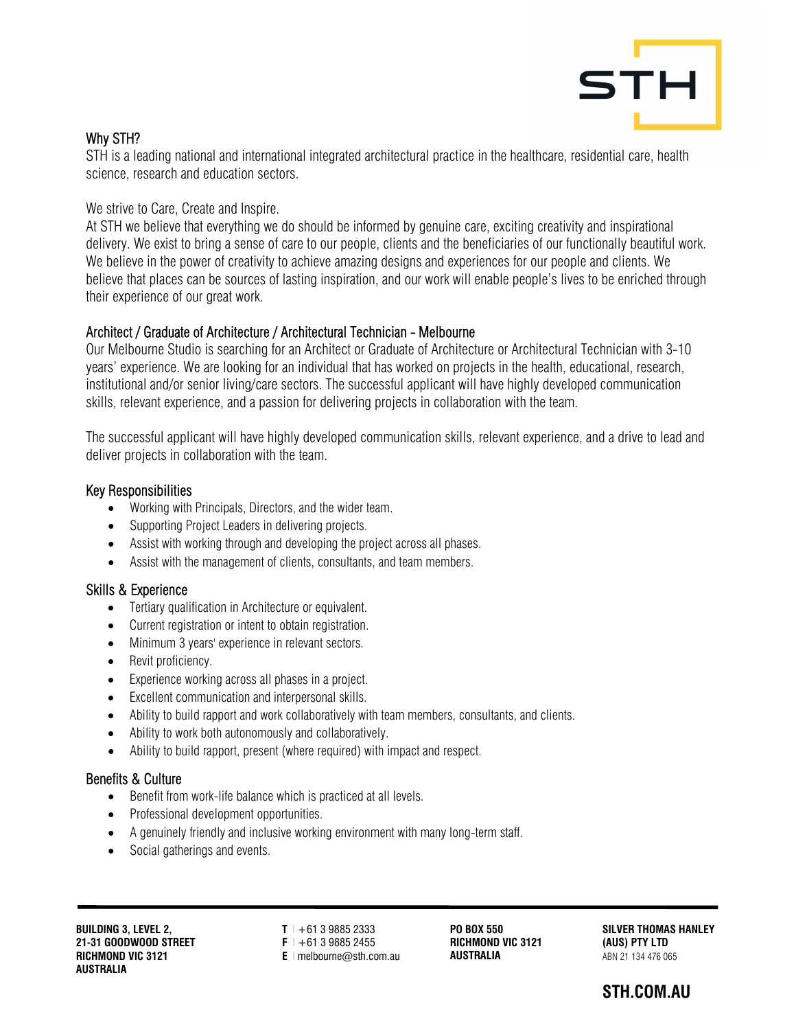

## Why STH?

STH is a leading national and international integrated architectural practice in the healthcare, residential care, health science, research and education sectors.

We strive to Care, Create and Inspire.

At STH we believe that everything we do should be informed by genuine care, exciting creativity and inspirational delivery. We exist to bring a sense of care to our people, clients and the beneficiaries of our functionally beautiful work. We believe in the power of creativity to achieve amazing designs and experiences for our people and clients. We believe that places can be sources of lasting inspiration, and our work will enable people's lives to be enriched through their experience of our great work.

### Architect / Graduate of Architecture / Architectural Technician - Melbourne

Our Melbourne Studio is searching for an Architect or Graduate of Architecture or Architectural Technician with 3-10 years' experience. We are looking for an individual that has worked on projects in the health, educational, research, institutional and/or senior living/care sectors. The successful applicant will have highly developed communication skills, relevant experience, and a passion for delivering projects in collaboration with the team.

The successful applicant will have highly developed communication skills, relevant experience, and a drive to lead and deliver projects in collaboration with the team.

#### Key Responsibilities

- Working with Principals, Directors, and the wider team.
- Supporting Project Leaders in delivering projects.
- Assist with working through and developing the project across all phases.
- Assist with the management of clients, consultants, and team members.

#### Skills & Experience

- Tertiary qualification in Architecture or equivalent.
- Current registration or intent to obtain registration.
- Minimum 3 years' experience in relevant sectors.
- Revit proficiency.
- Experience working across all phases in a project.
- Excellent communication and interpersonal skills.
- Ability to build rapport and work collaboratively with team members, consultants, and clients.
- Ability to work both autonomously and collaboratively.
- Ability to build rapport, present (where required) with impact and respect.

#### Benefits & Culture

- Benefit from work-life balance which is practiced at all levels.
- Professional development opportunities.
- A genuinely friendly and inclusive working environment with many long-term staff.
- Social gatherings and events.

**BUILDING 3, LEVEL 2, 21-31 GOODWOOD STREET RICHMOND VIC 3121 AUSTRALIA** 

**T l** +61 3 9885 2333 **F l** +61 3 9885 2455 **E l** melbourne@sth.com.au

**PO BOX 550 RICHMOND VIC 3121 AUSTRALIA** 

**SILVER THOMAS HANLEY (AUS) PTY LTD**  ABN 21 134 476 065

# **STH.COM.AU**